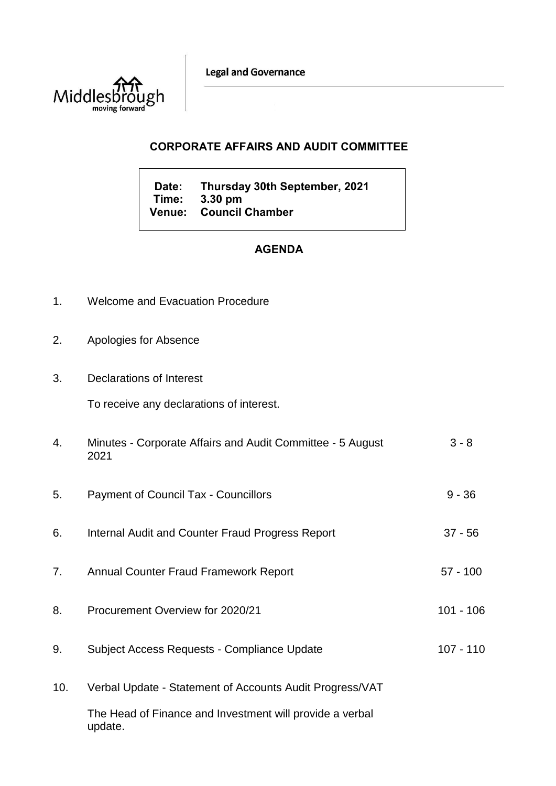**Legal and Governance** 



## **CORPORATE AFFAIRS AND AUDIT COMMITTEE**

**Date: Thursday 30th September, 2021 Time: 3.30 pm Venue: Council Chamber**

## **AGENDA**

- 1. Welcome and Evacuation Procedure
- 2. Apologies for Absence
- 3. Declarations of Interest

To receive any declarations of interest.

| 4.  | Minutes - Corporate Affairs and Audit Committee - 5 August<br>2021  | $3 - 8$     |
|-----|---------------------------------------------------------------------|-------------|
| 5.  | <b>Payment of Council Tax - Councillors</b>                         | $9 - 36$    |
| 6.  | Internal Audit and Counter Fraud Progress Report                    | $37 - 56$   |
| 7.  | <b>Annual Counter Fraud Framework Report</b>                        | $57 - 100$  |
| 8.  | Procurement Overview for 2020/21                                    | $101 - 106$ |
| 9.  | Subject Access Requests - Compliance Update                         | $107 - 110$ |
| 10. | Verbal Update - Statement of Accounts Audit Progress/VAT            |             |
|     | The Head of Finance and Investment will provide a verbal<br>update. |             |